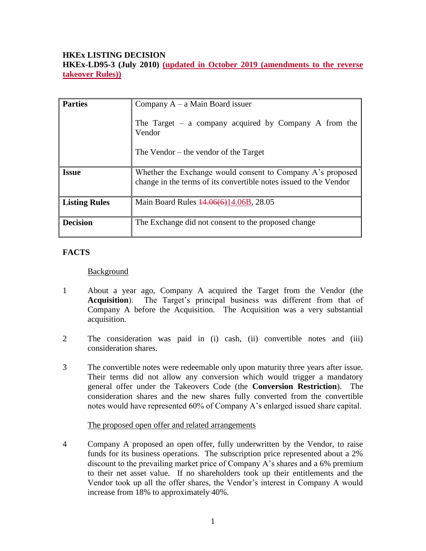## **HKEx LISTING DECISION**

**HKEx-LD95-3 (July 2010) (updated in October 2019 (amendments to the reverse takeover Rules))**

| <b>Parties</b>       | Company $A - a$ Main Board issuer<br>The Target – a company acquired by Company A from the<br>Vendor<br>The Vendor $-$ the vendor of the Target |
|----------------------|-------------------------------------------------------------------------------------------------------------------------------------------------|
| <b>Issue</b>         | Whether the Exchange would consent to Company A's proposed<br>change in the terms of its convertible notes issued to the Vendor                 |
| <b>Listing Rules</b> | Main Board Rules $14.06(6)14.06B$ , 28.05                                                                                                       |
| <b>Decision</b>      | The Exchange did not consent to the proposed change                                                                                             |

# **FACTS**

#### Background

- 1 About a year ago, Company A acquired the Target from the Vendor (the **Acquisition**). The Target's principal business was different from that of Company A before the Acquisition. The Acquisition was a very substantial acquisition.
- 2 The consideration was paid in (i) cash, (ii) convertible notes and (iii) consideration shares.
- 3 The convertible notes were redeemable only upon maturity three years after issue. Their terms did not allow any conversion which would trigger a mandatory general offer under the Takeovers Code (the **Conversion Restriction**). The consideration shares and the new shares fully converted from the convertible notes would have represented 60% of Company A's enlarged issued share capital.

#### The proposed open offer and related arrangements

4 Company A proposed an open offer, fully underwritten by the Vendor, to raise funds for its business operations. The subscription price represented about a 2% discount to the prevailing market price of Company A's shares and a 6% premium to their net asset value. If no shareholders took up their entitlements and the Vendor took up all the offer shares, the Vendor's interest in Company A would increase from 18% to approximately 40%.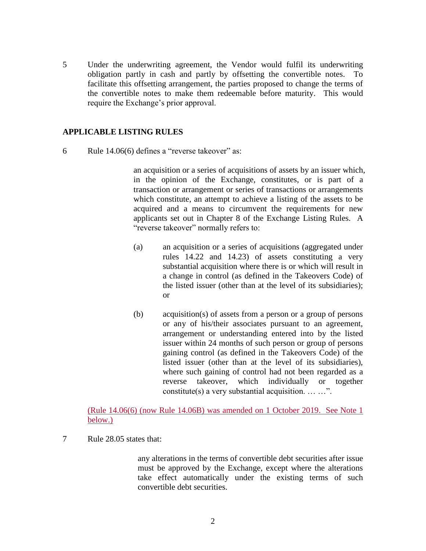5 Under the underwriting agreement, the Vendor would fulfil its underwriting obligation partly in cash and partly by offsetting the convertible notes. To facilitate this offsetting arrangement, the parties proposed to change the terms of the convertible notes to make them redeemable before maturity. This would require the Exchange's prior approval.

### **APPLICABLE LISTING RULES**

6 Rule 14.06(6) defines a "reverse takeover" as:

an acquisition or a series of acquisitions of assets by an issuer which, in the opinion of the Exchange, constitutes, or is part of a transaction or arrangement or series of transactions or arrangements which constitute, an attempt to achieve a listing of the assets to be acquired and a means to circumvent the requirements for new applicants set out in Chapter 8 of the Exchange Listing Rules. A "reverse takeover" normally refers to:

- (a) an acquisition or a series of acquisitions (aggregated under rules 14.22 and 14.23) of assets constituting a very substantial acquisition where there is or which will result in a change in control (as defined in the Takeovers Code) of the listed issuer (other than at the level of its subsidiaries); or
- (b) acquisition(s) of assets from a person or a group of persons or any of his/their associates pursuant to an agreement, arrangement or understanding entered into by the listed issuer within 24 months of such person or group of persons gaining control (as defined in the Takeovers Code) of the listed issuer (other than at the level of its subsidiaries), where such gaining of control had not been regarded as a reverse takeover, which individually or together constitute(s) a very substantial acquisition.  $\dots \dots$ ".

(Rule 14.06(6) (now Rule 14.06B) was amended on 1 October 2019. See Note 1 below.)

7 Rule 28.05 states that:

any alterations in the terms of convertible debt securities after issue must be approved by the Exchange, except where the alterations take effect automatically under the existing terms of such convertible debt securities.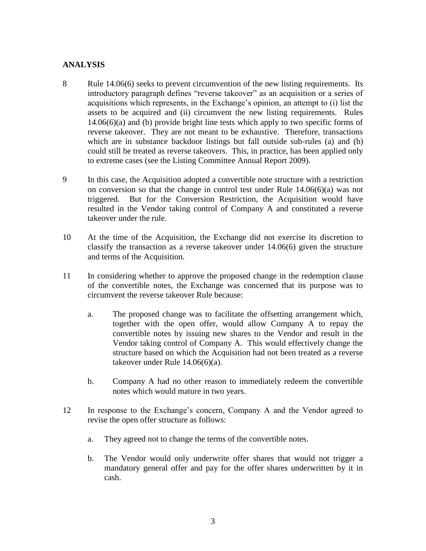### **ANALYSIS**

- 8 Rule 14.06(6) seeks to prevent circumvention of the new listing requirements. Its introductory paragraph defines "reverse takeover" as an acquisition or a series of acquisitions which represents, in the Exchange's opinion, an attempt to (i) list the assets to be acquired and (ii) circumvent the new listing requirements. Rules 14.06(6)(a) and (b) provide bright line tests which apply to two specific forms of reverse takeover. They are not meant to be exhaustive. Therefore, transactions which are in substance backdoor listings but fall outside sub-rules (a) and (b) could still be treated as reverse takeovers. This, in practice, has been applied only to extreme cases (see the Listing Committee Annual Report 2009).
- 9 In this case, the Acquisition adopted a convertible note structure with a restriction on conversion so that the change in control test under Rule  $14.06(6)(a)$  was not triggered. But for the Conversion Restriction, the Acquisition would have resulted in the Vendor taking control of Company A and constituted a reverse takeover under the rule.
- 10 At the time of the Acquisition, the Exchange did not exercise its discretion to classify the transaction as a reverse takeover under 14.06(6) given the structure and terms of the Acquisition.
- 11 In considering whether to approve the proposed change in the redemption clause of the convertible notes, the Exchange was concerned that its purpose was to circumvent the reverse takeover Rule because:
	- a. The proposed change was to facilitate the offsetting arrangement which, together with the open offer, would allow Company A to repay the convertible notes by issuing new shares to the Vendor and result in the Vendor taking control of Company A. This would effectively change the structure based on which the Acquisition had not been treated as a reverse takeover under Rule 14.06(6)(a).
	- b. Company A had no other reason to immediately redeem the convertible notes which would mature in two years.
- 12 In response to the Exchange's concern, Company A and the Vendor agreed to revise the open offer structure as follows:
	- a. They agreed not to change the terms of the convertible notes.
	- b. The Vendor would only underwrite offer shares that would not trigger a mandatory general offer and pay for the offer shares underwritten by it in cash.